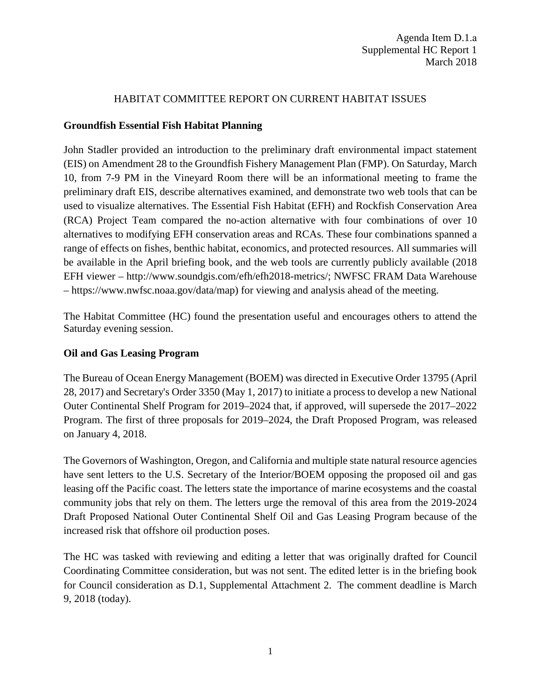#### HABITAT COMMITTEE REPORT ON CURRENT HABITAT ISSUES

## **Groundfish Essential Fish Habitat Planning**

John Stadler provided an introduction to the preliminary draft environmental impact statement (EIS) on Amendment 28 to the Groundfish Fishery Management Plan (FMP). On Saturday, March 10, from 7-9 PM in the Vineyard Room there will be an informational meeting to frame the preliminary draft EIS, describe alternatives examined, and demonstrate two web tools that can be used to visualize alternatives. The Essential Fish Habitat (EFH) and Rockfish Conservation Area (RCA) Project Team compared the no-action alternative with four combinations of over 10 alternatives to modifying EFH conservation areas and RCAs. These four combinations spanned a range of effects on fishes, benthic habitat, economics, and protected resources. All summaries will be available in the April briefing book, and the web tools are currently publicly available (2018 EFH viewer – http://www.soundgis.com/efh/efh2018-metrics/; NWFSC FRAM Data Warehouse – https://www.nwfsc.noaa.gov/data/map) for viewing and analysis ahead of the meeting.

The Habitat Committee (HC) found the presentation useful and encourages others to attend the Saturday evening session.

## **Oil and Gas Leasing Program**

The Bureau of Ocean Energy Management (BOEM) was directed in Executive Order 13795 (April 28, 2017) and Secretary's Order 3350 (May 1, 2017) to initiate a process to develop a new National Outer Continental Shelf Program for 2019–2024 that, if approved, will supersede the 2017–2022 Program. The first of three proposals for 2019–2024, the Draft Proposed Program, was released on January 4, 2018.

The Governors of Washington, Oregon, and California and multiple state natural resource agencies have sent letters to the U.S. Secretary of the Interior/BOEM opposing the proposed oil and gas leasing off the Pacific coast. The letters state the importance of marine ecosystems and the coastal community jobs that rely on them. The letters urge the removal of this area from the 2019-2024 Draft Proposed National Outer Continental Shelf Oil and Gas Leasing Program because of the increased risk that offshore oil production poses.

The HC was tasked with reviewing and editing a letter that was originally drafted for Council Coordinating Committee consideration, but was not sent. The edited letter is in the briefing book for Council consideration as D.1, Supplemental Attachment 2. The comment deadline is March 9, 2018 (today).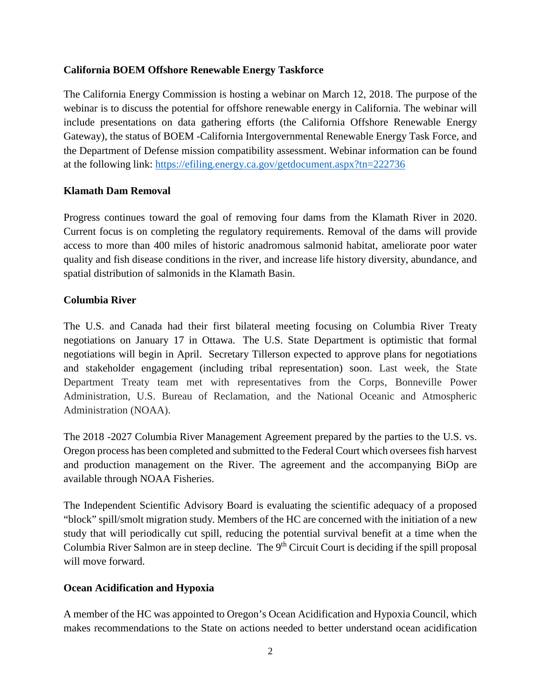## **California BOEM Offshore Renewable Energy Taskforce**

The California Energy Commission is hosting a webinar on March 12, 2018. The purpose of the webinar is to discuss the potential for offshore renewable energy in California. The webinar will include presentations on data gathering efforts (the California Offshore Renewable Energy Gateway), the status of BOEM -California Intergovernmental Renewable Energy Task Force, and the Department of Defense mission compatibility assessment. Webinar information can be found at the following link:<https://efiling.energy.ca.gov/getdocument.aspx?tn=222736>

### **Klamath Dam Removal**

Progress continues toward the goal of removing four dams from the Klamath River in 2020. Current focus is on completing the regulatory requirements. Removal of the dams will provide access to more than 400 miles of historic anadromous salmonid habitat, ameliorate poor water quality and fish disease conditions in the river, and increase life history diversity, abundance, and spatial distribution of salmonids in the Klamath Basin.

### **Columbia River**

The U.S. and Canada had their first bilateral meeting focusing on Columbia River Treaty negotiations on January 17 in Ottawa. The U.S. State Department is optimistic that formal negotiations will begin in April. Secretary Tillerson expected to approve plans for negotiations and stakeholder engagement (including tribal representation) soon. Last week, the State Department Treaty team met with representatives from the Corps, Bonneville Power Administration, U.S. Bureau of Reclamation, and the National Oceanic and Atmospheric Administration (NOAA).

The 2018 -2027 Columbia River Management Agreement prepared by the parties to the U.S. vs. Oregon process has been completed and submitted to the Federal Court which oversees fish harvest and production management on the River. The agreement and the accompanying BiOp are available through NOAA Fisheries.

The Independent Scientific Advisory Board is evaluating the scientific adequacy of a proposed "block" spill/smolt migration study. Members of the HC are concerned with the initiation of a new study that will periodically cut spill, reducing the potential survival benefit at a time when the Columbia River Salmon are in steep decline. The 9<sup>th</sup> Circuit Court is deciding if the spill proposal will move forward.

# **Ocean Acidification and Hypoxia**

A member of the HC was appointed to Oregon's Ocean Acidification and Hypoxia Council, which makes recommendations to the State on actions needed to better understand ocean acidification